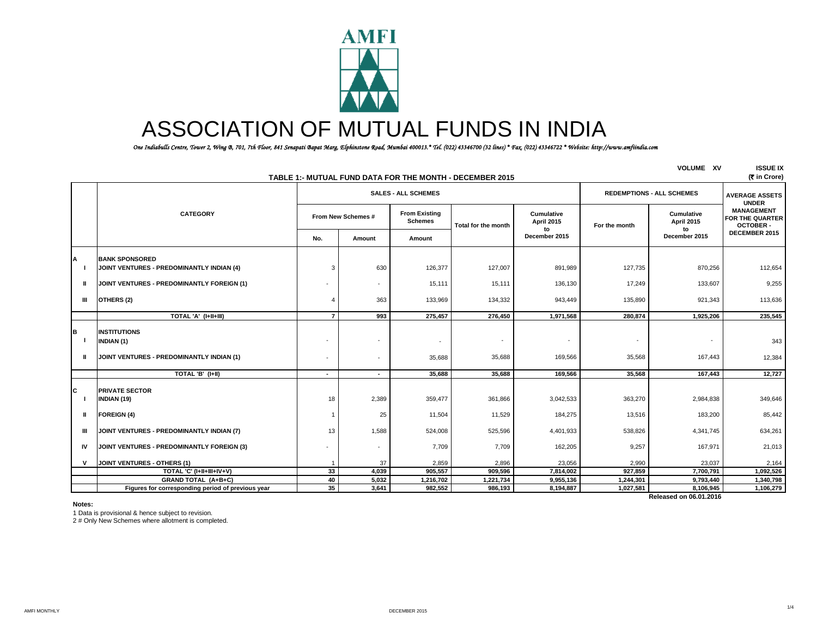

# ASSOCIATION OF MUTUAL FUNDS IN INDIA

 *One Indiabulls Centre, Tower 2, Wing B, 701, 7th Floor, 841 Senapati Bapat Marg, Elphinstone Road, Mumbai 400013.\* Tel. (022) 43346700 (32 lines) \* Fax. (022) 43346722 \* Website: http://www.amfiindia.com*

| <b>VOLUME XV</b><br>TABLE 1:- MUTUAL FUND DATA FOR THE MONTH - DECEMBER 2015 |                                                                                       |                    |                                                      |                                        |                                    |                                     |                                    |                                       |                                                         |
|------------------------------------------------------------------------------|---------------------------------------------------------------------------------------|--------------------|------------------------------------------------------|----------------------------------------|------------------------------------|-------------------------------------|------------------------------------|---------------------------------------|---------------------------------------------------------|
|                                                                              |                                                                                       |                    |                                                      | <b>SALES - ALL SCHEMES</b>             |                                    |                                     | <b>REDEMPTIONS - ALL SCHEMES</b>   | <b>AVERAGE ASSETS</b><br><b>UNDER</b> |                                                         |
|                                                                              | <b>CATEGORY</b>                                                                       | From New Schemes # |                                                      | <b>From Existing</b><br><b>Schemes</b> | Total for the month                | Cumulative<br><b>April 2015</b>     | For the month                      | Cumulative<br><b>April 2015</b>       | <b>MANAGEMENT</b><br>FOR THE QUARTER<br><b>OCTOBER-</b> |
|                                                                              |                                                                                       | No.                | Amount                                               | Amount                                 |                                    | December 2015                       |                                    | to<br>December 2015                   | DECEMBER 2015                                           |
| A                                                                            | <b>BANK SPONSORED</b><br>JOINT VENTURES - PREDOMINANTLY INDIAN (4)                    | 3                  | 630                                                  | 126,377                                | 127,007                            | 891,989                             | 127,735                            | 870,256                               | 112,654                                                 |
| Ш                                                                            | JOINT VENTURES - PREDOMINANTLY FOREIGN (1)                                            |                    | $\overline{\phantom{a}}$                             | 15,111                                 | 15,111                             | 136,130                             | 17,249                             | 133,607                               | 9,255                                                   |
| Ш                                                                            | OTHERS (2)                                                                            | $\overline{4}$     | 363                                                  | 133,969                                | 134,332                            | 943,449                             | 135,890                            | 921,343                               | 113,636                                                 |
|                                                                              | TOTAL 'A' (I+II+III)                                                                  | $\overline{7}$     | 993                                                  | 275,457                                | 276,450                            | 1,971,568                           | 280,874                            | 1,925,206                             | 235,545                                                 |
| B<br>Ш                                                                       | <b>INSTITUTIONS</b><br><b>INDIAN (1)</b><br>JOINT VENTURES - PREDOMINANTLY INDIAN (1) |                    | $\overline{\phantom{a}}$<br>$\overline{\phantom{a}}$ | $\overline{\phantom{a}}$<br>35,688     | $\overline{\phantom{a}}$<br>35,688 | $\overline{\phantom{a}}$<br>169,566 | $\overline{\phantom{a}}$<br>35,568 | 167,443                               | 343<br>12,384                                           |
|                                                                              | TOTAL 'B' (I+II)                                                                      | $\overline{a}$     | $\sim$                                               | 35,688                                 | 35,688                             | 169.566                             | 35,568                             | 167,443                               | 12,727                                                  |
| Iс                                                                           | <b>PRIVATE SECTOR</b><br><b>INDIAN (19)</b>                                           | 18                 | 2,389                                                | 359,477                                | 361,866                            | 3,042,533                           | 363,270                            | 2,984,838                             | 349,646                                                 |
| $\mathbf{I}$                                                                 | <b>FOREIGN (4)</b>                                                                    |                    | 25                                                   | 11,504                                 | 11,529                             | 184,275                             | 13,516                             | 183,200                               | 85,442                                                  |
| Ш                                                                            | JOINT VENTURES - PREDOMINANTLY INDIAN (7)                                             | 13                 | 1,588                                                | 524,008                                | 525,596                            | 4,401,933                           | 538,826                            | 4,341,745                             | 634,261                                                 |
| IV                                                                           | JOINT VENTURES - PREDOMINANTLY FOREIGN (3)                                            |                    | $\sim$                                               | 7,709                                  | 7,709                              | 162,205                             | 9,257                              | 167.971                               | 21,013                                                  |
| v                                                                            | <b>JOINT VENTURES - OTHERS (1)</b>                                                    | -1                 | 37                                                   | 2,859                                  | 2,896                              | 23,056                              | 2,990                              | 23,037                                | 2,164                                                   |
|                                                                              | TOTAL 'C' (I+II+III+IV+V)                                                             | 33                 | 4,039                                                | 905,557                                | 909,596                            | 7,814,002                           | 927.859                            | 7,700,791                             | 1.092.526                                               |
|                                                                              | <b>GRAND TOTAL (A+B+C)</b>                                                            | 40                 | 5,032                                                | 1,216,702                              | 1,221,734                          | 9,955,136                           | 1,244,301                          | 9,793,440                             | 1,340,798                                               |
|                                                                              | Figures for corresponding period of previous year                                     | 35                 | 3,641                                                | 982,552                                | 986,193                            | 8,194,887                           | 1,027,581                          | 8,106,945                             | 1,106,279                                               |
|                                                                              |                                                                                       |                    |                                                      |                                        |                                    |                                     |                                    | Released on 06.01.2016                |                                                         |

**Notes:**

1 Data is provisional & hence subject to revision.

2 # Only New Schemes where allotment is completed.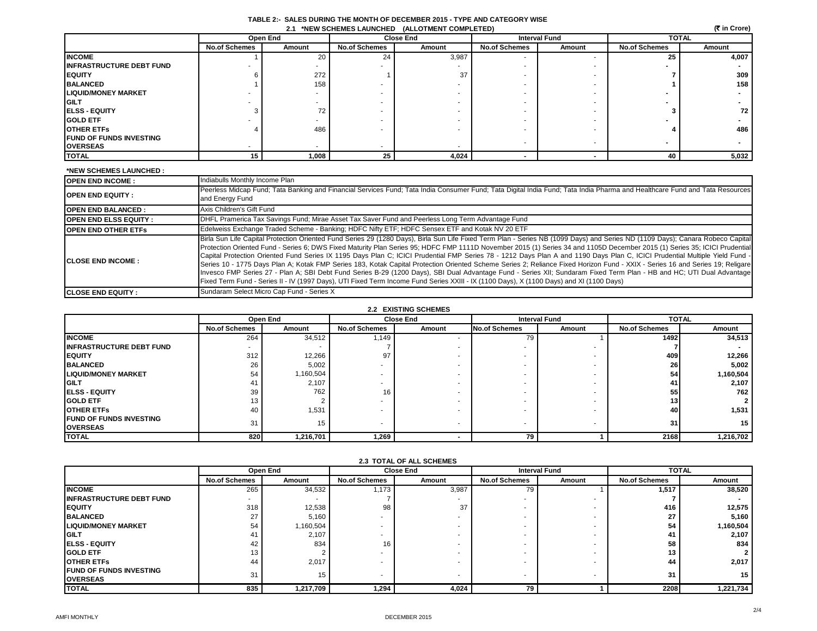| TABLE 2:- SALES DURING THE MONTH OF DECEMBER 2015 - TYPE AND CATEGORY WISE |  |
|----------------------------------------------------------------------------|--|
| 2.1 *NEW SCHEMES LAUNCHED (ALLOTMENT COMPLETED)                            |  |

|                                 |                      | (रैं in Crore) |                      |                  |                      |        |                          |        |
|---------------------------------|----------------------|----------------|----------------------|------------------|----------------------|--------|--------------------------|--------|
|                                 |                      | Open End       |                      | <b>Close End</b> | <b>Interval Fund</b> |        | <b>TOTAL</b>             |        |
|                                 | <b>No.of Schemes</b> | Amount         | <b>No.of Schemes</b> | Amount           | <b>No.of Schemes</b> | Amount | <b>No.of Schemes</b>     | Amount |
| <b>INCOME</b>                   |                      | 20             | 24                   | 3,987            |                      |        | 25                       | 4,007  |
| <b>INFRASTRUCTURE DEBT FUND</b> |                      |                |                      |                  |                      |        |                          |        |
| <b>IEQUITY</b>                  |                      | 272            |                      | 37               |                      |        |                          | 309    |
| <b>BALANCED</b>                 |                      | 158            |                      |                  |                      |        |                          | 158    |
| <b>LIQUID/MONEY MARKET</b>      |                      |                |                      |                  |                      |        |                          |        |
| <b>GILT</b>                     |                      |                |                      |                  |                      |        |                          |        |
| <b>IELSS - EQUITY</b>           |                      | 72             |                      |                  |                      |        |                          | 72     |
| <b>GOLD ETF</b>                 |                      |                |                      |                  |                      |        |                          |        |
| <b>OTHER ETFS</b>               |                      | 486            |                      |                  |                      |        |                          | 486    |
| <b>FUND OF FUNDS INVESTING</b>  |                      |                |                      |                  |                      |        | $\overline{\phantom{a}}$ |        |
| <b>OVERSEAS</b>                 |                      |                |                      |                  |                      |        |                          |        |
| <b>TOTAL</b>                    | 15                   | 1.008          | 25                   | 4,024            |                      |        | 40                       | 5,032  |

| *NEW SCHEMES LAUNCHED :      |                                                                                                                                                                                                                                                                                                                                                                                                                                                                                                                                                                                                                                                                                                                                                                                                                                                                                                                                                                                                                                                   |
|------------------------------|---------------------------------------------------------------------------------------------------------------------------------------------------------------------------------------------------------------------------------------------------------------------------------------------------------------------------------------------------------------------------------------------------------------------------------------------------------------------------------------------------------------------------------------------------------------------------------------------------------------------------------------------------------------------------------------------------------------------------------------------------------------------------------------------------------------------------------------------------------------------------------------------------------------------------------------------------------------------------------------------------------------------------------------------------|
| <b>OPEN END INCOME:</b>      | Indiabulls Monthly Income Plan                                                                                                                                                                                                                                                                                                                                                                                                                                                                                                                                                                                                                                                                                                                                                                                                                                                                                                                                                                                                                    |
| <b>OPEN END EQUITY:</b>      | Peerless Midcap Fund; Tata Banking and Financial Services Fund; Tata India Consumer Fund; Tata Digital India Fund; Tata India Pharma and Healthcare Fund and Tata Resources<br>and Energy Fund                                                                                                                                                                                                                                                                                                                                                                                                                                                                                                                                                                                                                                                                                                                                                                                                                                                    |
| <b>OPEN END BALANCED:</b>    | Axis Children's Gift Fund                                                                                                                                                                                                                                                                                                                                                                                                                                                                                                                                                                                                                                                                                                                                                                                                                                                                                                                                                                                                                         |
| <b>OPEN END ELSS EQUITY:</b> | DHFL Pramerica Tax Savings Fund; Mirae Asset Tax Saver Fund and Peerless Long Term Advantage Fund                                                                                                                                                                                                                                                                                                                                                                                                                                                                                                                                                                                                                                                                                                                                                                                                                                                                                                                                                 |
| <b>OPEN END OTHER ETFS</b>   | Edelweiss Exchange Traded Scheme - Banking; HDFC Nifty ETF; HDFC Sensex ETF and Kotak NV 20 ETF                                                                                                                                                                                                                                                                                                                                                                                                                                                                                                                                                                                                                                                                                                                                                                                                                                                                                                                                                   |
| <b>ICLOSE END INCOME :</b>   | Birla Sun Life Capital Protection Oriented Fund Series 29 (1280 Days), Birla Sun Life Fixed Term Plan - Series NB (1099 Days) and Series ND (1109 Days); Canara Robeco Capital<br>Protection Oriented Fund - Series 6; DWS Fixed Maturity Plan Series 95; HDFC FMP 1111D November 2015 (1) Series 34 and 1105D December 2015 (1) Series 35; ICICI Prudential<br>Capital Protection Oriented Fund Series IX 1195 Days Plan C; ICICI Prudential FMP Series 78 - 1212 Days Plan A and 1190 Days Plan C, ICICI Prudential Multiple Yield Fund -<br>Series 10 - 1775 Days Plan A; Kotak FMP Series 183, Kotak Capital Protection Oriented Scheme Series 2; Reliance Fixed Horizon Fund - XXIX - Series 16 and Series 19; Religare<br>Invesco FMP Series 27 - Plan A; SBI Debt Fund Series B-29 (1200 Days), SBI Dual Advantage Fund - Series XII; Sundaram Fixed Term Plan - HB and HC; UTI Dual Advantage<br>Fixed Term Fund - Series II - IV (1997 Days), UTI Fixed Term Income Fund Series XXIII - IX (1100 Days), X (1100 Days) and XI (1100 Days) |
| <b>ICLOSE END EQUITY:</b>    | Sundaram Select Micro Cap Fund - Series X                                                                                                                                                                                                                                                                                                                                                                                                                                                                                                                                                                                                                                                                                                                                                                                                                                                                                                                                                                                                         |

# **2.2 EXISTING SCHEMES**

|                                 | Open End             |           |                      | <b>Close End</b> |                      | <b>Interval Fund</b> |                      | <b>TOTAL</b>    |  |
|---------------------------------|----------------------|-----------|----------------------|------------------|----------------------|----------------------|----------------------|-----------------|--|
|                                 | <b>No.of Schemes</b> | Amount    | <b>No.of Schemes</b> | Amount           | <b>No.of Schemes</b> | Amount               | <b>No.of Schemes</b> | Amount          |  |
| <b>INCOME</b>                   | 264                  | 34,512    | 1.149                |                  | 79                   |                      | 1492                 | 34,513          |  |
| <b>INFRASTRUCTURE DEBT FUND</b> |                      |           |                      |                  |                      |                      |                      |                 |  |
| <b>IEQUITY</b>                  | 312                  | 12,266    | 97                   |                  |                      |                      | 409                  | 12,266          |  |
| <b>BALANCED</b>                 | 26                   | 5,002     |                      |                  |                      |                      | 26                   | 5,002           |  |
| <b>LIQUID/MONEY MARKET</b>      | 54                   | 1,160,504 |                      |                  |                      |                      | 54                   | 1,160,504       |  |
| <b>IGILT</b>                    | 41                   | 2,107     |                      |                  |                      |                      | 41                   | 2,107           |  |
| <b>IELSS - EQUITY</b>           | 39                   | 762       | 16 <sub>1</sub>      |                  |                      |                      | 55                   | 762             |  |
| <b>IGOLD ETF</b>                | 13                   |           |                      |                  |                      |                      | 13                   |                 |  |
| <b>OTHER ETFS</b>               | 40                   | 1,531     |                      |                  |                      |                      | 40                   | 1,531           |  |
| <b>FUND OF FUNDS INVESTING</b>  | 31                   | 15        |                      |                  |                      |                      | 31                   | 15 <sup>1</sup> |  |
| <b>OVERSEAS</b>                 |                      |           |                      |                  |                      |                      |                      |                 |  |
| <b>TOTAL</b>                    | 820                  | 1,216,701 | 1,269                |                  | 79                   |                      | 2168                 | 1,216,702       |  |

| <b>2.3 TOTAL OF ALL SCHEMES</b> |                      |           |                          |                  |                          |                      |                      |                |  |
|---------------------------------|----------------------|-----------|--------------------------|------------------|--------------------------|----------------------|----------------------|----------------|--|
|                                 | Open End             |           |                          | <b>Close End</b> |                          | <b>Interval Fund</b> | <b>TOTAL</b>         |                |  |
|                                 | <b>No.of Schemes</b> | Amount    | <b>No.of Schemes</b>     | Amount           | <b>No.of Schemes</b>     | Amount               | <b>No.of Schemes</b> | Amount         |  |
| <b>INCOME</b>                   | 265                  | 34,532    | 1,173                    | 3,987            | 79                       |                      | 1,517                | 38,520         |  |
| <b>INFRASTRUCTURE DEBT FUND</b> |                      |           |                          |                  | $\overline{\phantom{a}}$ |                      |                      |                |  |
| <b>IEQUITY</b>                  | 318                  | 12,538    | 98                       | 37               |                          |                      | 416                  | 12,575         |  |
| <b>BALANCED</b>                 | 27                   | 5,160     | $\overline{\phantom{a}}$ |                  |                          |                      | 27                   | 5,160          |  |
| <b>LIQUID/MONEY MARKET</b>      | 54                   | 1,160,504 |                          |                  |                          |                      | 54                   | 1,160,504      |  |
| <b>GILT</b>                     | 41                   | 2,107     |                          |                  |                          |                      | 41                   | 2,107          |  |
| <b>IELSS - EQUITY</b>           | 42                   | 834       | 16                       |                  |                          |                      | 58                   | 834            |  |
| <b>IGOLD ETF</b>                | 13                   |           | $\overline{\phantom{a}}$ |                  |                          |                      | 13                   | $\overline{2}$ |  |
| <b>OTHER ETFS</b>               | 44                   | 2,017     |                          |                  |                          |                      | 44                   | 2,017          |  |
| <b>FUND OF FUNDS INVESTING</b>  | 31                   | 15        |                          |                  |                          |                      | 31                   | 15             |  |
| <b>OVERSEAS</b>                 |                      |           |                          |                  |                          |                      |                      |                |  |
| <b>TOTAL</b>                    | 835                  | 1,217,709 | 1,294                    | 4,024            | 79                       |                      | 2208                 | 1,221,734      |  |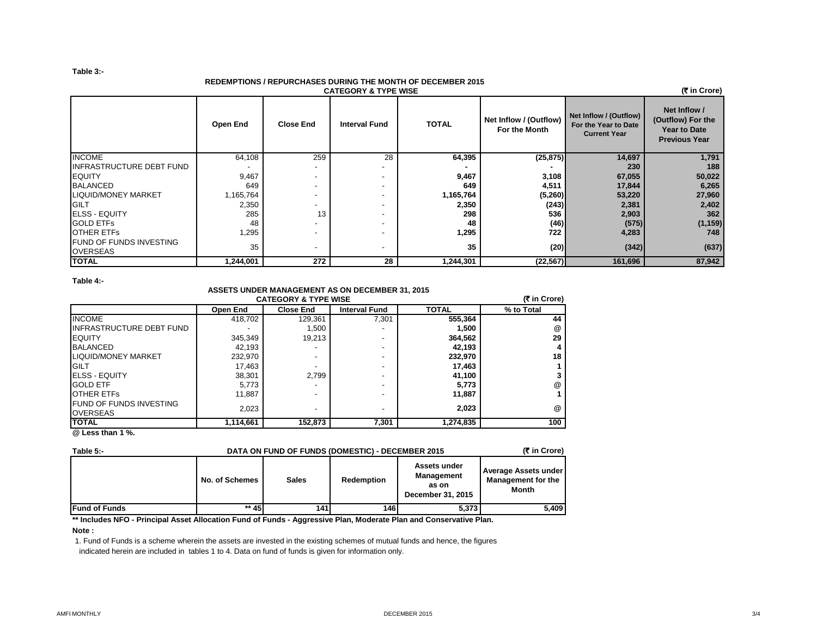## **Table 3:-**

#### **REDEMPTIONS / REPURCHASES DURING THE MONTH OF DECEMBER 2015 CATEGORY & TYPE WISE**

| <b>CATEGORY &amp; TYPE WISE</b>                   |           |                          |                          |              |                                         |                                                                       |                                                                                  |  |  |  |  |
|---------------------------------------------------|-----------|--------------------------|--------------------------|--------------|-----------------------------------------|-----------------------------------------------------------------------|----------------------------------------------------------------------------------|--|--|--|--|
|                                                   | Open End  | <b>Close End</b>         | <b>Interval Fund</b>     | <b>TOTAL</b> | Net Inflow / (Outflow)<br>For the Month | Net Inflow / (Outflow)<br>For the Year to Date<br><b>Current Year</b> | Net Inflow /<br>(Outflow) For the<br><b>Year to Date</b><br><b>Previous Year</b> |  |  |  |  |
| <b>INCOME</b>                                     | 64,108    | 259                      | 28                       | 64,395       | (25, 875)                               | 14,697                                                                | 1,791                                                                            |  |  |  |  |
| <b>INFRASTRUCTURE DEBT FUND</b>                   |           | $\overline{\phantom{a}}$ |                          |              |                                         | 230                                                                   | 188                                                                              |  |  |  |  |
| <b>EQUITY</b>                                     | 9,467     | $\overline{\phantom{a}}$ |                          | 9,467        | 3,108                                   | 67,055                                                                | 50,022                                                                           |  |  |  |  |
| <b>BALANCED</b>                                   | 649       | $\overline{\phantom{a}}$ |                          | 649          | 4,511                                   | 17,844                                                                | 6,265                                                                            |  |  |  |  |
| LIQUID/MONEY MARKET                               | 1,165,764 | $\overline{\phantom{a}}$ |                          | 1,165,764    | (5,260)                                 | 53,220                                                                | 27,960                                                                           |  |  |  |  |
| <b>IGILT</b>                                      | 2,350     | $\overline{\phantom{a}}$ |                          | 2,350        | (243)                                   | 2,381                                                                 | 2,402                                                                            |  |  |  |  |
| <b>ELSS - EQUITY</b>                              | 285       | 13                       | -                        | 298          | 536                                     | 2,903                                                                 | 362                                                                              |  |  |  |  |
| <b>GOLD ETFS</b>                                  | 48        | $\overline{\phantom{a}}$ | $\overline{\phantom{0}}$ | 48           | (46)                                    | (575)                                                                 | (1, 159)                                                                         |  |  |  |  |
| <b>OTHER ETFS</b>                                 | 1,295     | $\overline{\phantom{a}}$ |                          | 1,295        | 722                                     | 4,283                                                                 | 748                                                                              |  |  |  |  |
| <b>FUND OF FUNDS INVESTING</b><br><b>OVERSEAS</b> | 35        | $\overline{\phantom{a}}$ |                          | 35           | (20)                                    | (342)                                                                 | (637)                                                                            |  |  |  |  |
| <b>TOTAL</b>                                      | 1,244,001 | 272                      | 28                       | 1,244,301    | (22, 567)                               | 161,696                                                               | 87,942                                                                           |  |  |  |  |

**Table 4:-**

### **ASSETS UNDER MANAGEMENT AS ON DECEMBER 31, 2015 CATEGORY & TYPE WISE**

|                                                   | (₹ in Crore) |                  |                      |              |            |
|---------------------------------------------------|--------------|------------------|----------------------|--------------|------------|
|                                                   | Open End     | <b>Close End</b> | <b>Interval Fund</b> | <b>TOTAL</b> | % to Total |
| <b>INCOME</b>                                     | 418,702      | 129.361          | 7,301                | 555,364      | 44         |
| <b>INFRASTRUCTURE DEBT FUND</b>                   |              | 1,500            |                      | 1,500        | @          |
| <b>IEQUITY</b>                                    | 345,349      | 19,213           |                      | 364,562      | 29         |
| <b>BALANCED</b>                                   | 42.193       |                  |                      | 42,193       | 4          |
| LIQUID/MONEY MARKET                               | 232,970      |                  |                      | 232,970      | 18         |
| <b>IGILT</b>                                      | 17,463       |                  |                      | 17,463       |            |
| <b>IELSS - EQUITY</b>                             | 38,301       | 2.799            |                      | 41,100       |            |
| <b>GOLD ETF</b>                                   | 5,773        |                  |                      | 5,773        | @          |
| <b>OTHER ETFS</b>                                 | 11.887       |                  |                      | 11.887       |            |
| <b>FUND OF FUNDS INVESTING</b><br><b>OVERSEAS</b> | 2,023        |                  |                      | 2.023        | @          |
| <b>ITOTAL</b><br>$\sim$                           | 1,114,661    | 152,873          | 7,301                | 1,274,835    | 100        |

**@ Less than 1 %.**

| Table 5:-             | DATA ON FUND OF FUNDS (DOMESTIC) - DECEMBER 2015 |              |            |                                                          |                                                                   |  |  |  |  |
|-----------------------|--------------------------------------------------|--------------|------------|----------------------------------------------------------|-------------------------------------------------------------------|--|--|--|--|
|                       | No. of Schemes                                   | <b>Sales</b> | Redemption | Assets under<br>Management<br>as on<br>December 31, 2015 | <b>Average Assets under</b><br>Management for the<br><b>Month</b> |  |  |  |  |
| <b>IFund of Funds</b> | $**$ 45                                          | 141 I        | 146 I      | 5,373                                                    | 5,409                                                             |  |  |  |  |

**\*\* Includes NFO - Principal Asset Allocation Fund of Funds - Aggressive Plan, Moderate Plan and Conservative Plan.**

# **Note :**

1. Fund of Funds is a scheme wherein the assets are invested in the existing schemes of mutual funds and hence, the figures

indicated herein are included in tables 1 to 4. Data on fund of funds is given for information only.